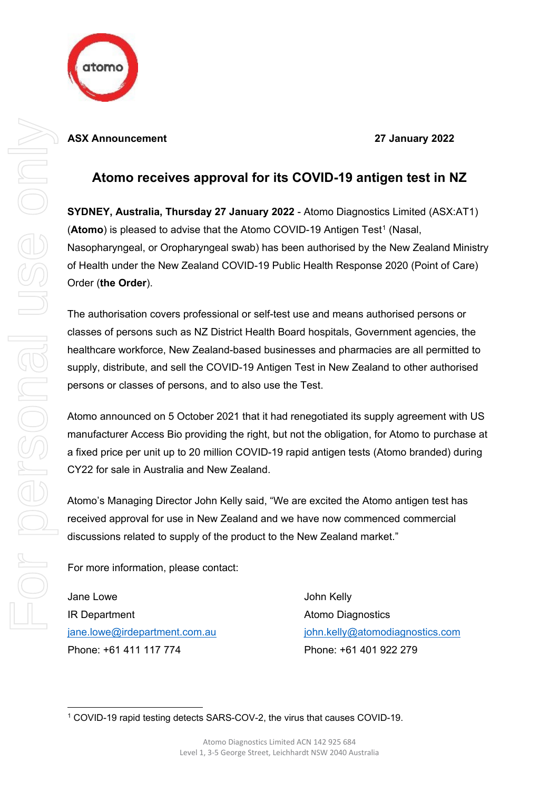

## **Atomo receives approval for its COVID-19 antigen test in NZ**

**SYDNEY, Australia, Thursday 27 January 2022** - Atomo Diagnostics Limited (ASX:AT1) (**Atomo**) is pleased to advise that the Atomo COVID-[1](#page-0-0)9 Antigen Test<sup>1</sup> (Nasal, Nasopharyngeal, or Oropharyngeal swab) has been authorised by the New Zealand Ministry of Health under the New Zealand COVID-19 Public Health Response 2020 (Point of Care) Order (**the Order**).

The authorisation covers professional or self-test use and means authorised persons or classes of persons such as NZ District Health Board hospitals, Government agencies, the healthcare workforce, New Zealand-based businesses and pharmacies are all permitted to supply, distribute, and sell the COVID-19 Antigen Test in New Zealand to other authorised persons or classes of persons, and to also use the Test.

Atomo announced on 5 October 2021 that it had renegotiated its supply agreement with US manufacturer Access Bio providing the right, but not the obligation, for Atomo to purchase at a fixed price per unit up to 20 million COVID-19 rapid antigen tests (Atomo branded) during CY22 for sale in Australia and New Zealand.

Atomo's Managing Director John Kelly said, "We are excited the Atomo antigen test has received approval for use in New Zealand and we have now commenced commercial discussions related to supply of the product to the New Zealand market."

For more information, please contact:

Jane Lowe **John Kelly** IR Department Atomo Diagnostics Phone: +61 411 117 774 Phone: +61 401 922 279

[jane.lowe@irdepartment.com.au](mailto:jane.lowe@irdepartment.com.au) [john.kelly@atomodiagnostics.com](mailto:john.kelly@atomodiagnostics.com)

<span id="page-0-0"></span><sup>1</sup> COVID-19 rapid testing detects SARS-COV-2, the virus that causes COVID-19.